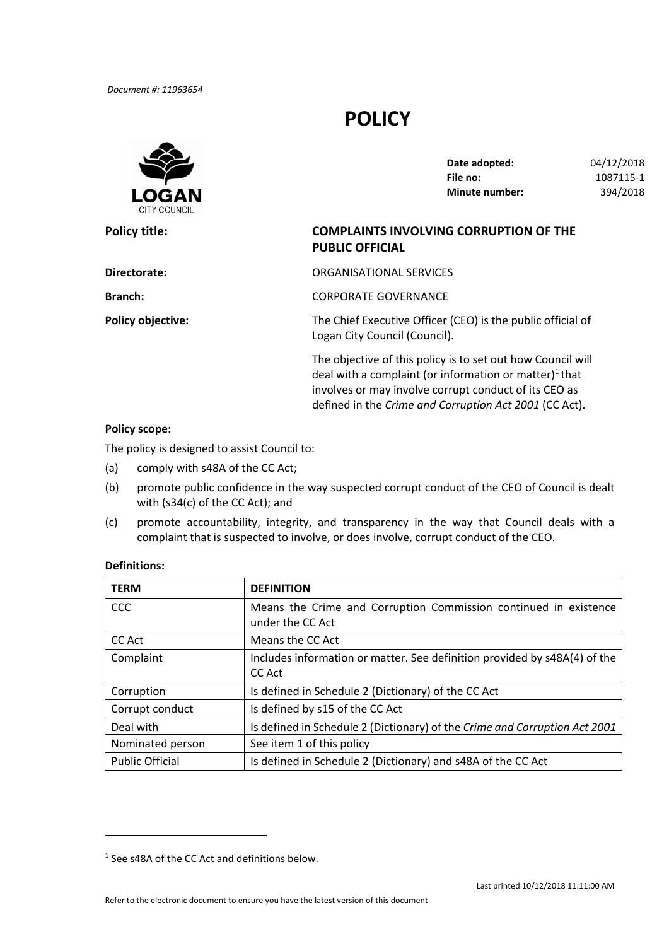# **POLICY**



| Date adopted:         | 04/12/2018 |
|-----------------------|------------|
| File no:              | 1087115-1  |
| <b>Minute number:</b> | 394/2018   |

## **Policy title: COMPLAINTS INVOLVING CORRUPTION OF THE PUBLIC OFFICIAL**

defined in the *Crime and Corruption Act 2001* (CC Act).

| Directorate:             | ORGANISATIONAL SERVICES                                                                                                                                                                    |
|--------------------------|--------------------------------------------------------------------------------------------------------------------------------------------------------------------------------------------|
| <b>Branch:</b>           | <b>CORPORATE GOVERNANCE</b>                                                                                                                                                                |
| <b>Policy objective:</b> | The Chief Executive Officer (CEO) is the public official of<br>Logan City Council (Council).                                                                                               |
|                          | The objective of this policy is to set out how Council will<br>deal with a complaint (or information or matter) <sup>1</sup> that<br>involves or may involve corrupt conduct of its CEO as |

### **Policy scope:**

The policy is designed to assist Council to:

- (a) comply with s48A of the CC Act;
- (b) promote public confidence in the way suspected corrupt conduct of the CEO of Council is dealt with (s34(c) of the CC Act); and
- (c) promote accountability, integrity, and transparency in the way that Council deals with a complaint that is suspected to involve, or does involve, corrupt conduct of the CEO.

## **Definitions:**

| <b>TERM</b>            | <b>DEFINITION</b>                                                                    |
|------------------------|--------------------------------------------------------------------------------------|
| <b>CCC</b>             | Means the Crime and Corruption Commission continued in existence<br>under the CC Act |
| CC Act                 | Means the CC Act                                                                     |
| Complaint              | Includes information or matter. See definition provided by s48A(4) of the<br>CC Act  |
| Corruption             | Is defined in Schedule 2 (Dictionary) of the CC Act                                  |
| Corrupt conduct        | Is defined by s15 of the CC Act                                                      |
| Deal with              | Is defined in Schedule 2 (Dictionary) of the Crime and Corruption Act 2001           |
| Nominated person       | See item 1 of this policy                                                            |
| <b>Public Official</b> | Is defined in Schedule 2 (Dictionary) and s48A of the CC Act                         |

<sup>&</sup>lt;sup>1</sup> See s48A of the CC Act and definitions below.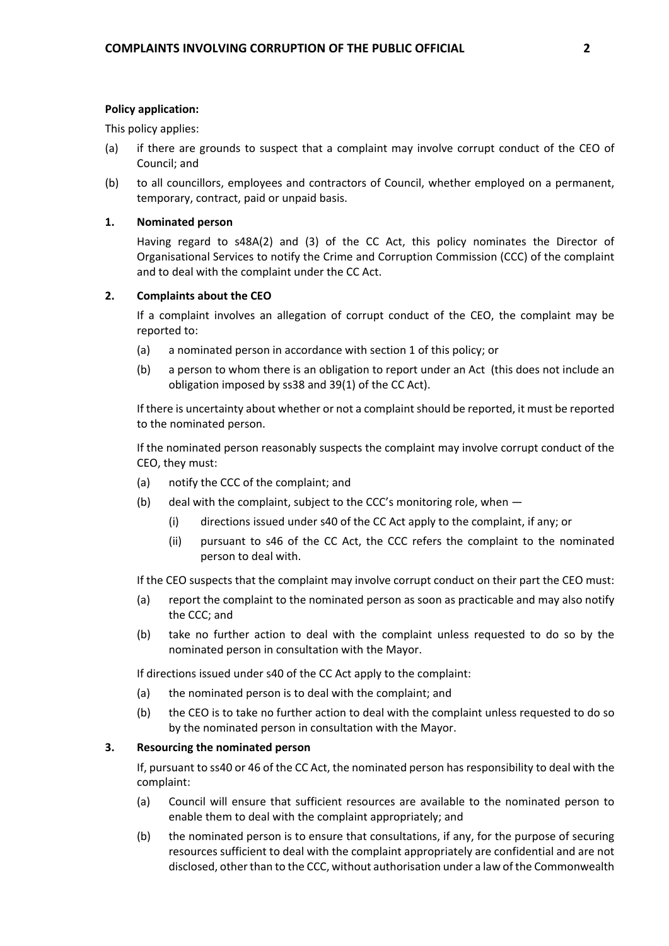#### **Policy application:**

This policy applies:

- (a) if there are grounds to suspect that a complaint may involve corrupt conduct of the CEO of Council; and
- (b) to all councillors, employees and contractors of Council, whether employed on a permanent, temporary, contract, paid or unpaid basis.

### **1. Nominated person**

 Having regard to s48A(2) and (3) of the CC Act, this policy nominates the Director of Organisational Services to notify the Crime and Corruption Commission (CCC) of the complaint and to deal with the complaint under the CC Act.

### **2. Complaints about the CEO**

 If a complaint involves an allegation of corrupt conduct of the CEO, the complaint may be reported to:

- (a) a nominated person in accordance with section 1 of this policy; or
- (b) a person to whom there is an obligation to report under an Act (this does not include an obligation imposed by ss38 and 39(1) of the CC Act).

If there is uncertainty about whether or not a complaint should be reported, it must be reported to the nominated person.

 If the nominated person reasonably suspects the complaint may involve corrupt conduct of the CEO, they must:

- (a) notify the CCC of the complaint; and
- (b) deal with the complaint, subject to the CCC's monitoring role, when
	- (i) directions issued under s40 of the CC Act apply to the complaint, if any; or
	- (ii) pursuant to s46 of the CC Act, the CCC refers the complaint to the nominated person to deal with.

If the CEO suspects that the complaint may involve corrupt conduct on their part the CEO must:

- (a) report the complaint to the nominated person as soon as practicable and may also notify the CCC; and
- (b) take no further action to deal with the complaint unless requested to do so by the nominated person in consultation with the Mayor.

If directions issued under s40 of the CC Act apply to the complaint:

- (a) the nominated person is to deal with the complaint; and
- (b) the CEO is to take no further action to deal with the complaint unless requested to do so by the nominated person in consultation with the Mayor.

#### **3. Resourcing the nominated person**

 If, pursuant to ss40 or 46 of the CC Act, the nominated person has responsibility to deal with the complaint:

- (a) Council will ensure that sufficient resources are available to the nominated person to enable them to deal with the complaint appropriately; and
- (b) the nominated person is to ensure that consultations, if any, for the purpose of securing resources sufficient to deal with the complaint appropriately are confidential and are not disclosed, other than to the CCC, without authorisation under a law of the Commonwealth